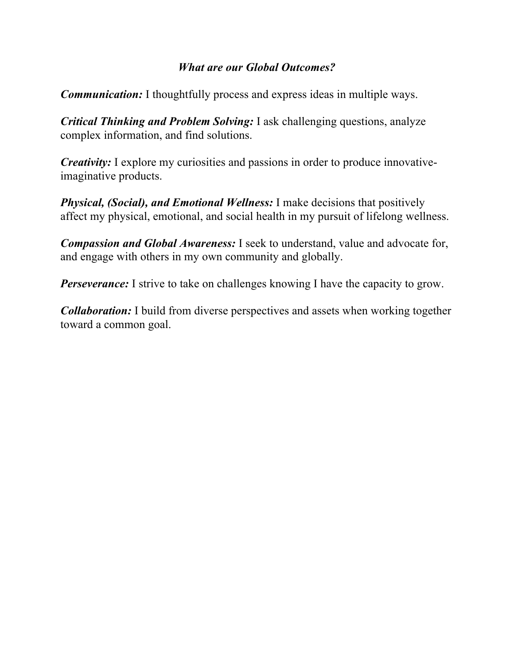### *What are our Global Outcomes?*

*Communication:* I thoughtfully process and express ideas in multiple ways.

*Critical Thinking and Problem Solving:* I ask challenging questions, analyze complex information, and find solutions.

*Creativity:* I explore my curiosities and passions in order to produce innovativeimaginative products.

*Physical, (Social), and Emotional Wellness:* I make decisions that positively affect my physical, emotional, and social health in my pursuit of lifelong wellness.

*Compassion and Global Awareness:* I seek to understand, value and advocate for, and engage with others in my own community and globally.

*Perseverance:* I strive to take on challenges knowing I have the capacity to grow.

*Collaboration:* I build from diverse perspectives and assets when working together toward a common goal.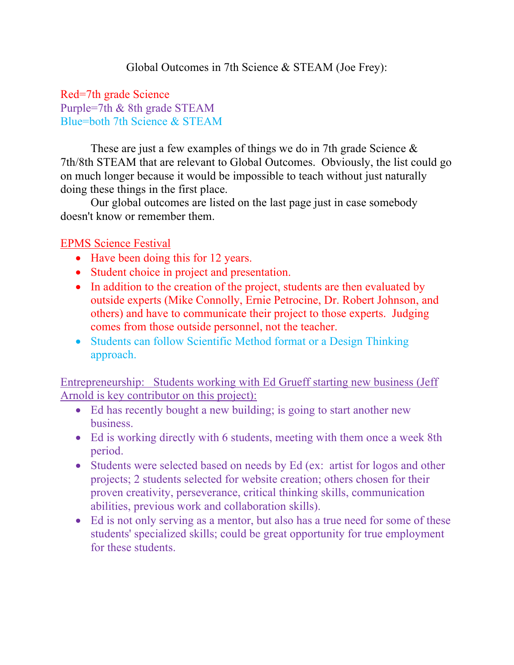### Red=7th grade Science Purple=7th & 8th grade STEAM Blue=both 7th Science & STEAM

These are just a few examples of things we do in 7th grade Science & 7th/8th STEAM that are relevant to Global Outcomes. Obviously, the list could go on much longer because it would be impossible to teach without just naturally doing these things in the first place.

Our global outcomes are listed on the last page just in case somebody doesn't know or remember them.

# EPMS Science Festival

- Have been doing this for 12 years.
- Student choice in project and presentation.
- In addition to the creation of the project, students are then evaluated by outside experts (Mike Connolly, Ernie Petrocine, Dr. Robert Johnson, and others) and have to communicate their project to those experts. Judging comes from those outside personnel, not the teacher.
- Students can follow Scientific Method format or a Design Thinking approach.

Entrepreneurship: Students working with Ed Grueff starting new business (Jeff Arnold is key contributor on this project):

- Ed has recently bought a new building; is going to start another new business.
- Ed is working directly with 6 students, meeting with them once a week 8th period.
- Students were selected based on needs by Ed (ex: artist for logos and other projects; 2 students selected for website creation; others chosen for their proven creativity, perseverance, critical thinking skills, communication abilities, previous work and collaboration skills).
- Ed is not only serving as a mentor, but also has a true need for some of these students' specialized skills; could be great opportunity for true employment for these students.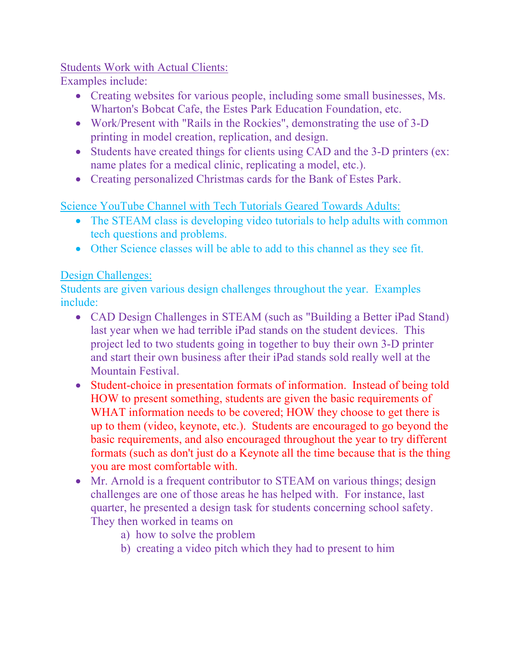### Students Work with Actual Clients:

Examples include:

- Creating websites for various people, including some small businesses, Ms. Wharton's Bobcat Cafe, the Estes Park Education Foundation, etc.
- Work/Present with "Rails in the Rockies", demonstrating the use of 3-D printing in model creation, replication, and design.
- Students have created things for clients using CAD and the 3-D printers (ex: name plates for a medical clinic, replicating a model, etc.).
- Creating personalized Christmas cards for the Bank of Estes Park.

Science YouTube Channel with Tech Tutorials Geared Towards Adults:

- The STEAM class is developing video tutorials to help adults with common tech questions and problems.
- Other Science classes will be able to add to this channel as they see fit.

# Design Challenges:

Students are given various design challenges throughout the year. Examples include:

- CAD Design Challenges in STEAM (such as "Building a Better iPad Stand) last year when we had terrible iPad stands on the student devices. This project led to two students going in together to buy their own 3-D printer and start their own business after their iPad stands sold really well at the Mountain Festival.
- Student-choice in presentation formats of information. Instead of being told HOW to present something, students are given the basic requirements of WHAT information needs to be covered; HOW they choose to get there is up to them (video, keynote, etc.). Students are encouraged to go beyond the basic requirements, and also encouraged throughout the year to try different formats (such as don't just do a Keynote all the time because that is the thing you are most comfortable with.
- Mr. Arnold is a frequent contributor to STEAM on various things; design challenges are one of those areas he has helped with. For instance, last quarter, he presented a design task for students concerning school safety. They then worked in teams on
	- a) how to solve the problem
	- b) creating a video pitch which they had to present to him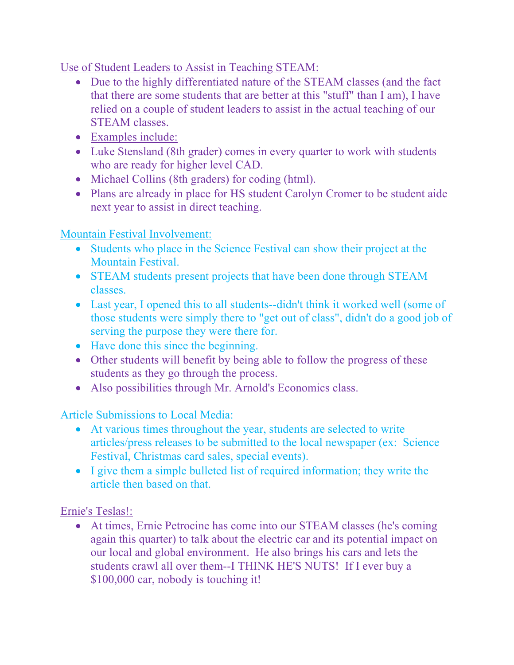Use of Student Leaders to Assist in Teaching STEAM:

- Due to the highly differentiated nature of the STEAM classes (and the fact that there are some students that are better at this "stuff" than I am), I have relied on a couple of student leaders to assist in the actual teaching of our STEAM classes.
- Examples include:
- Luke Stensland (8th grader) comes in every quarter to work with students who are ready for higher level CAD.
- Michael Collins (8th graders) for coding (html).
- Plans are already in place for HS student Carolyn Cromer to be student aide next year to assist in direct teaching.

Mountain Festival Involvement:

- Students who place in the Science Festival can show their project at the Mountain Festival.
- STEAM students present projects that have been done through STEAM classes.
- Last year, I opened this to all students--didn't think it worked well (some of those students were simply there to "get out of class", didn't do a good job of serving the purpose they were there for.
- Have done this since the beginning.
- Other students will benefit by being able to follow the progress of these students as they go through the process.
- Also possibilities through Mr. Arnold's Economics class.

Article Submissions to Local Media:

- At various times throughout the year, students are selected to write articles/press releases to be submitted to the local newspaper (ex: Science Festival, Christmas card sales, special events).
- I give them a simple bulleted list of required information; they write the article then based on that.

Ernie's Teslas!:

• At times, Ernie Petrocine has come into our STEAM classes (he's coming again this quarter) to talk about the electric car and its potential impact on our local and global environment. He also brings his cars and lets the students crawl all over them--I THINK HE'S NUTS! If I ever buy a \$100,000 car, nobody is touching it!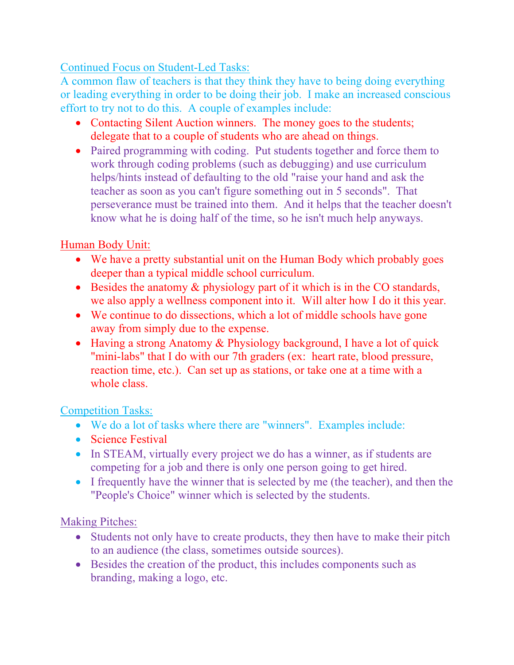Continued Focus on Student-Led Tasks:

A common flaw of teachers is that they think they have to being doing everything or leading everything in order to be doing their job. I make an increased conscious effort to try not to do this. A couple of examples include:

- Contacting Silent Auction winners. The money goes to the students; delegate that to a couple of students who are ahead on things.
- Paired programming with coding. Put students together and force them to work through coding problems (such as debugging) and use curriculum helps/hints instead of defaulting to the old "raise your hand and ask the teacher as soon as you can't figure something out in 5 seconds". That perseverance must be trained into them. And it helps that the teacher doesn't know what he is doing half of the time, so he isn't much help anyways.

# Human Body Unit:

- We have a pretty substantial unit on the Human Body which probably goes deeper than a typical middle school curriculum.
- Besides the anatomy & physiology part of it which is in the CO standards, we also apply a wellness component into it. Will alter how I do it this year.
- We continue to do dissections, which a lot of middle schools have gone away from simply due to the expense.
- Having a strong Anatomy & Physiology background, I have a lot of quick "mini-labs" that I do with our 7th graders (ex: heart rate, blood pressure, reaction time, etc.). Can set up as stations, or take one at a time with a whole class.

## Competition Tasks:

- We do a lot of tasks where there are "winners". Examples include:
- Science Festival
- In STEAM, virtually every project we do has a winner, as if students are competing for a job and there is only one person going to get hired.
- I frequently have the winner that is selected by me (the teacher), and then the "People's Choice" winner which is selected by the students.

Making Pitches:

- Students not only have to create products, they then have to make their pitch to an audience (the class, sometimes outside sources).
- Besides the creation of the product, this includes components such as branding, making a logo, etc.